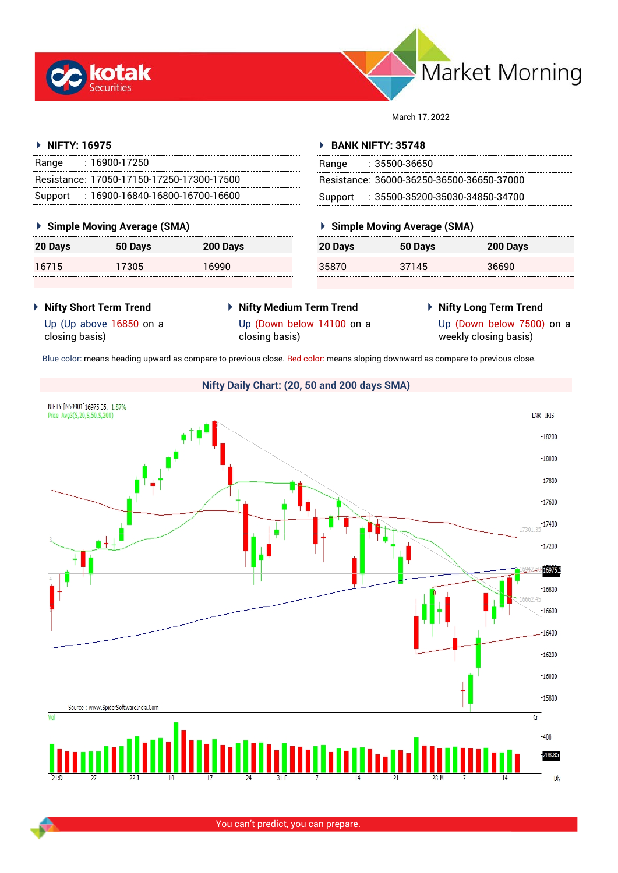



March 17, 2022

#### **NIFTY: 16975**

| Range | : 16900-17250                             |
|-------|-------------------------------------------|
|       | Resistance: 17050-17150-17250-17300-17500 |
|       | Support: 16900-16840-16800-16700-16600    |

#### **Simple Moving Average (SMA)**

| 20 Days | 50 Days | 200 Days |
|---------|---------|----------|
| 16715   | 17305   | 16990    |

#### **BANK NIFTY: 35748**

| Range | $: 35500 - 36650$                         |
|-------|-------------------------------------------|
|       | Resistance: 36000-36250-36500-36650-37000 |
|       | Support: 35500-35200-35030-34850-34700    |

## **Simple Moving Average (SMA)**

| 20 Days | 50 Days | 200 Days |
|---------|---------|----------|
| 35870   | 37145   | 36690    |

 **Nifty Short Term Trend** Up (Up above 16850 on a

closing basis)

- **Nifty Medium Term Trend** Up (Down below 14100 on a closing basis)
- **Nifty Long Term Trend**

Up (Down below 7500) on a weekly closing basis)

Blue color: means heading upward as compare to previous close. Red color: means sloping downward as compare to previous close.

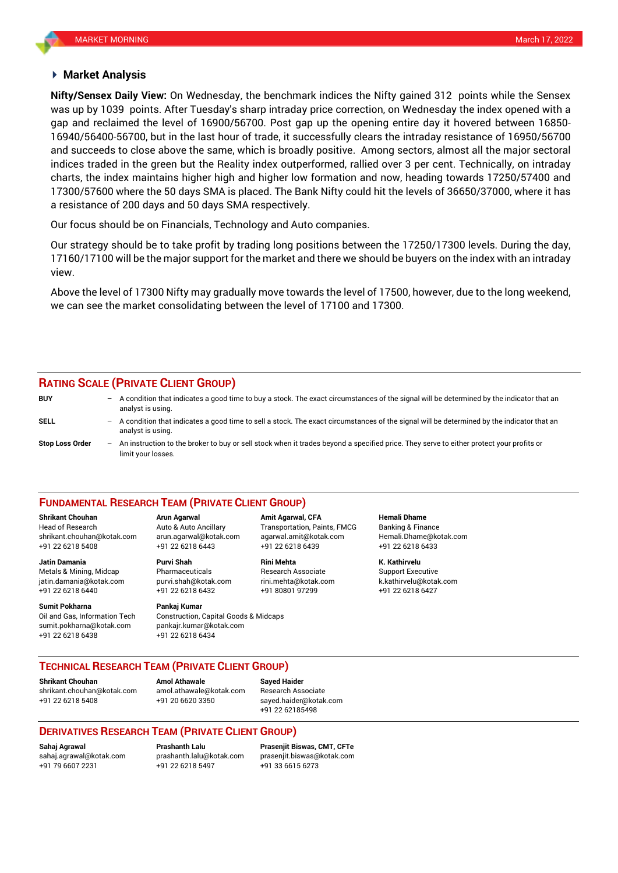#### **Market Analysis**

was up by 1039 points. After Tuesday's sharp intraday price correction, on Wednesday the index opened with a **Nifty/Sensex Daily View:** On Wednesday, the benchmark indices the Nifty gained 312 points while the Sensex gap and reclaimed the level of 16900/56700. Post gap up the opening entire day it hovered between 16850- 16940/56400-56700, but in the last hour of trade, it successfully clears the intraday resistance of 16950/56700 and succeeds to close above the same, which is broadly positive. Among sectors, almost all the major sectoral indices traded in the green but the Reality index outperformed, rallied over 3 per cent. Technically, on intraday charts, the index maintains higher high and higher low formation and now, heading towards 17250/57400 and 17300/57600 where the 50 days SMA is placed. The Bank Nifty could hit the levels of 36650/37000, where it has a resistance of 200 days and 50 days SMA respectively.

Our focus should be on Financials, Technology and Auto companies.

Our strategy should be to take profit by trading long positions between the 17250/17300 levels. During the day, 17160/17100 will be the major support for the market and there we should be buyers on the index with an intraday view.

Above the level of 17300 Nifty may gradually move towards the level of 17500, however, due to the long weekend, we can see the market consolidating between the level of 17100 and 17300.

## **RATING SCALE (PRIVATE CLIENT GROUP)**

limit your losses.

**BUY** – A condition that indicates a good time to buy a stock. The exact circumstances of the signal will be determined by the indicator that an analyst is using. **SELL** – A condition that indicates a good time to sell a stock. The exact circumstances of the signal will be determined by the indicator that an analyst is using. **Stop Loss Order** – An instruction to the broker to buy or sell stock when it trades beyond a specified price. They serve to either protect your profits or

#### **FUNDAMENTAL RESEARCH TEAM (PRIVATE CLIENT GROUP)**

Head of Research Auto & Auto Ancillary Transportation, Paints, FMCG Banking & Finance [shrikant.chouhan@kotak.com](mailto:shrikant.chouhan@kotak.com) arun.agarwal@kotak.com agarwal.amit@kotak.com Hemali.Dhame@kotak.com

**Jatin Damania Purvi Shah Rini Mehta K. Kathirvelu** Metals & Mining, Midcap Pharmaceuticals Research Associate Support Executive jatin.damania@kotak.com [purvi.shah@kotak.com](mailto:purvi.shah@kotak.com) rini.mehta@kotak.com [k.kathirvelu@kotak.com](mailto:k.kathirvelu@kotak.com) +91 22 6218 6440 +91 22 6218 6432 +91 80801 97299 +91 22 6218 6427

**Sumit Pokharna** Pankaj Kumar

Oil and Gas, Information Tech Construction, Capital Goods & Midcaps sumit.pokharna@kotak.com pankajr.kumar@kotak.com +91 22 6218 6438 +91 22 6218 6434

**Shrikant Chouhan Arun Agarwal Amit Agarwal, CFA Hemali Dhame** +91 22 6218 5408 +91 22 6218 6443 +91 22 6218 6439 +91 22 6218 6433

**TECHNICAL RESEARCH TEAM (PRIVATE CLIENT GROUP)**

**Shrikant Chouhan Amol Athawale Sayed Haider**

[shrikant.chouhan@kotak.com](mailto:shrikant.chouhan@kotak.com) [amol.athawale@kotak.com](mailto:amol.athawale@kotak.com) Research Associate +91 22 6218 5408 +91 20 6620 3350 [sayed.haider@kotak.com](mailto:sayed.haider@kotak.com)

+91 22 62185498

# **DERIVATIVES RESEARCH TEAM (PRIVATE CLIENT GROUP)**

+91 79 6607 2231 +91 22 6218 5497 +91 33 6615 6273

**Sahaj Agrawal Prashanth Lalu Prasenjit Biswas, CMT, CFTe** [sahaj.agrawal@kotak.com](mailto:sahaj.agrawal@kotak.com) [prashanth.lalu@kotak.com](mailto:prashanth.lalu@kotak.com) [prasenjit.biswas@kotak.com](mailto:prasenjit.biswas@kotak.com)